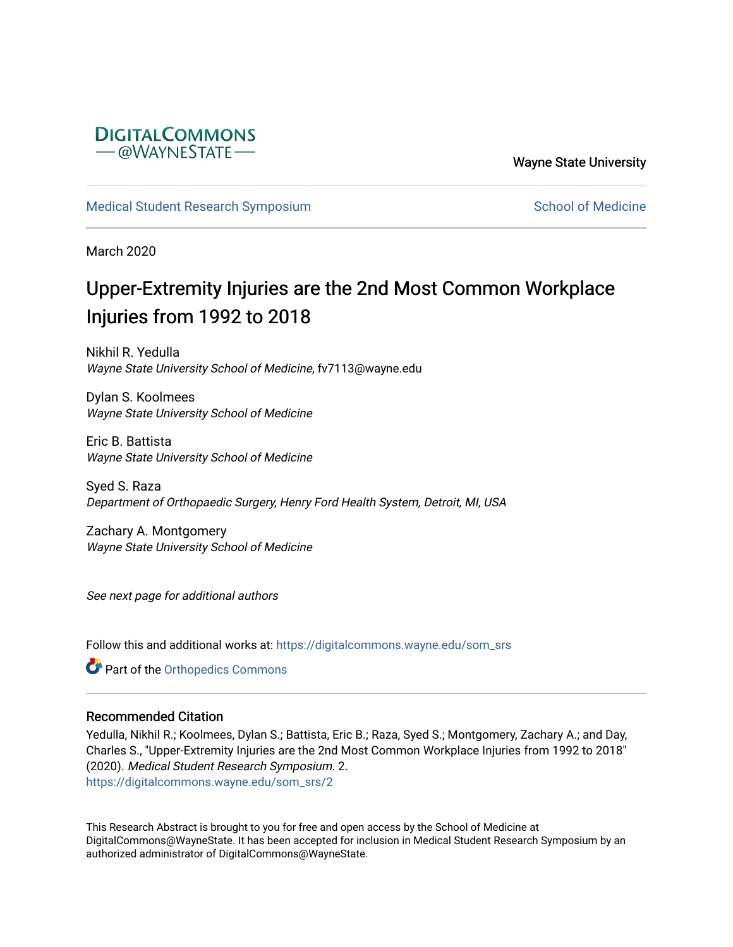

Wayne State University

[Medical Student Research Symposium](https://digitalcommons.wayne.edu/som_srs) [School of Medicine](https://digitalcommons.wayne.edu/med) School of Medicine

March 2020

# Upper-Extremity Injuries are the 2nd Most Common Workplace Injuries from 1992 to 2018

Nikhil R. Yedulla Wayne State University School of Medicine, fv7113@wayne.edu

Dylan S. Koolmees Wayne State University School of Medicine

Eric B. Battista Wayne State University School of Medicine

Syed S. Raza Department of Orthopaedic Surgery, Henry Ford Health System, Detroit, MI, USA

Zachary A. Montgomery Wayne State University School of Medicine

See next page for additional authors

Follow this and additional works at: [https://digitalcommons.wayne.edu/som\\_srs](https://digitalcommons.wayne.edu/som_srs?utm_source=digitalcommons.wayne.edu%2Fsom_srs%2F2&utm_medium=PDF&utm_campaign=PDFCoverPages)

**Part of the [Orthopedics Commons](http://network.bepress.com/hgg/discipline/696?utm_source=digitalcommons.wayne.edu%2Fsom_srs%2F2&utm_medium=PDF&utm_campaign=PDFCoverPages)** 

#### Recommended Citation

Yedulla, Nikhil R.; Koolmees, Dylan S.; Battista, Eric B.; Raza, Syed S.; Montgomery, Zachary A.; and Day, Charles S., "Upper-Extremity Injuries are the 2nd Most Common Workplace Injuries from 1992 to 2018" (2020). Medical Student Research Symposium. 2. [https://digitalcommons.wayne.edu/som\\_srs/2](https://digitalcommons.wayne.edu/som_srs/2?utm_source=digitalcommons.wayne.edu%2Fsom_srs%2F2&utm_medium=PDF&utm_campaign=PDFCoverPages)

This Research Abstract is brought to you for free and open access by the School of Medicine at DigitalCommons@WayneState. It has been accepted for inclusion in Medical Student Research Symposium by an authorized administrator of DigitalCommons@WayneState.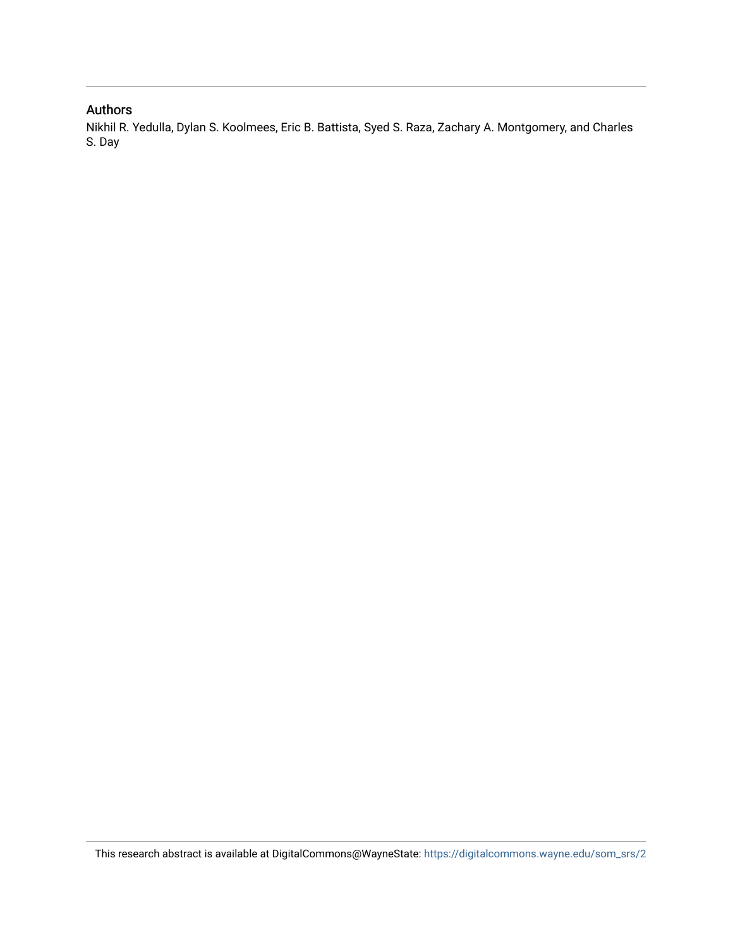### Authors

Nikhil R. Yedulla, Dylan S. Koolmees, Eric B. Battista, Syed S. Raza, Zachary A. Montgomery, and Charles S. Day

This research abstract is available at DigitalCommons@WayneState: [https://digitalcommons.wayne.edu/som\\_srs/2](https://digitalcommons.wayne.edu/som_srs/2)